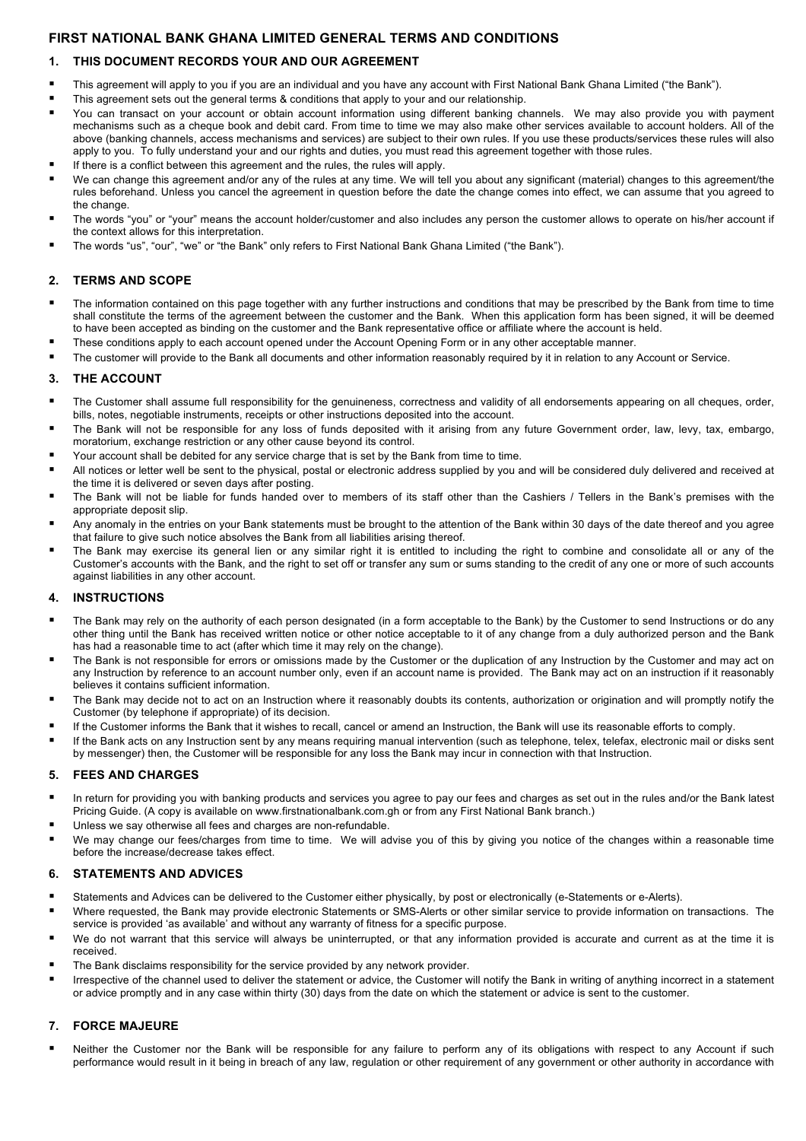# **FIRST NATIONAL BANK GHANA LIMITED GENERAL TERMS AND CONDITIONS**

## **1. THIS DOCUMENT RECORDS YOUR AND OUR AGREEMENT**

- ! This agreement will apply to you if you are an individual and you have any account with First National Bank Ghana Limited ("the Bank").
- This agreement sets out the general terms & conditions that apply to your and our relationship.
- You can transact on your account or obtain account information using different banking channels. We may also provide you with payment mechanisms such as a cheque book and debit card. From time to time we may also make other services available to account holders. All of the above (banking channels, access mechanisms and services) are subject to their own rules. If you use these products/services these rules will also apply to you. To fully understand your and our rights and duties, you must read this agreement together with those rules.
- If there is a conflict between this agreement and the rules, the rules will apply.
- We can change this agreement and/or any of the rules at any time. We will tell you about any significant (material) changes to this agreement/the rules beforehand. Unless you cancel the agreement in question before the date the change comes into effect, we can assume that you agreed to the change.
- The words "you" or "your" means the account holder/customer and also includes any person the customer allows to operate on his/her account if the context allows for this interpretation.
- ! The words "us", "our", "we" or "the Bank" only refers to First National Bank Ghana Limited ("the Bank").

### **2. TERMS AND SCOPE**

- The information contained on this page together with any further instructions and conditions that may be prescribed by the Bank from time to time shall constitute the terms of the agreement between the customer and the Bank. When this application form has been signed, it will be deemed to have been accepted as binding on the customer and the Bank representative office or affiliate where the account is held.
- These conditions apply to each account opened under the Account Opening Form or in any other acceptable manner.
- The customer will provide to the Bank all documents and other information reasonably required by it in relation to any Account or Service.

## **3. THE ACCOUNT**

- The Customer shall assume full responsibility for the genuineness, correctness and validity of all endorsements appearing on all cheques, order, bills, notes, negotiable instruments, receipts or other instructions deposited into the account.
- The Bank will not be responsible for any loss of funds deposited with it arising from any future Government order, law, levy, tax, embargo, moratorium, exchange restriction or any other cause beyond its control.
- Your account shall be debited for any service charge that is set by the Bank from time to time.
- All notices or letter well be sent to the physical, postal or electronic address supplied by you and will be considered duly delivered and received at the time it is delivered or seven days after posting.
- The Bank will not be liable for funds handed over to members of its staff other than the Cashiers / Tellers in the Bank's premises with the appropriate deposit slip.
- Any anomaly in the entries on your Bank statements must be brought to the attention of the Bank within 30 days of the date thereof and you agree that failure to give such notice absolves the Bank from all liabilities arising thereof.
- The Bank may exercise its general lien or any similar right it is entitled to including the right to combine and consolidate all or any of the Customer's accounts with the Bank, and the right to set off or transfer any sum or sums standing to the credit of any one or more of such accounts against liabilities in any other account.

### **4. INSTRUCTIONS**

- The Bank may rely on the authority of each person designated (in a form acceptable to the Bank) by the Customer to send Instructions or do any other thing until the Bank has received written notice or other notice acceptable to it of any change from a duly authorized person and the Bank has had a reasonable time to act (after which time it may rely on the change).
- The Bank is not responsible for errors or omissions made by the Customer or the duplication of any Instruction by the Customer and may act on any Instruction by reference to an account number only, even if an account name is provided. The Bank may act on an instruction if it reasonably believes it contains sufficient information.
- The Bank may decide not to act on an Instruction where it reasonably doubts its contents, authorization or origination and will promptly notify the Customer (by telephone if appropriate) of its decision.
- ! If the Customer informs the Bank that it wishes to recall, cancel or amend an Instruction, the Bank will use its reasonable efforts to comply.
- If the Bank acts on any Instruction sent by any means requiring manual intervention (such as telephone, telex, telefax, electronic mail or disks sent by messenger) then, the Customer will be responsible for any loss the Bank may incur in connection with that Instruction.

### **5. FEES AND CHARGES**

- In return for providing you with banking products and services you agree to pay our fees and charges as set out in the rules and/or the Bank latest Pricing Guide. (A copy is available on www.firstnationalbank.com.gh or from any First National Bank branch.)
- Unless we say otherwise all fees and charges are non-refundable.
- We may change our fees/charges from time to time. We will advise you of this by giving you notice of the changes within a reasonable time before the increase/decrease takes effect.

### **6. STATEMENTS AND ADVICES**

- ! Statements and Advices can be delivered to the Customer either physically, by post or electronically (e-Statements or e-Alerts).
- ! Where requested, the Bank may provide electronic Statements or SMS-Alerts or other similar service to provide information on transactions. The service is provided 'as available' and without any warranty of fitness for a specific purpose.
- We do not warrant that this service will always be uninterrupted, or that any information provided is accurate and current as at the time it is received.
- The Bank disclaims responsibility for the service provided by any network provider.
- ! Irrespective of the channel used to deliver the statement or advice, the Customer will notify the Bank in writing of anything incorrect in a statement or advice promptly and in any case within thirty (30) days from the date on which the statement or advice is sent to the customer.

### **7. FORCE MAJEURE**

Neither the Customer nor the Bank will be responsible for any failure to perform any of its obligations with respect to any Account if such performance would result in it being in breach of any law, regulation or other requirement of any government or other authority in accordance with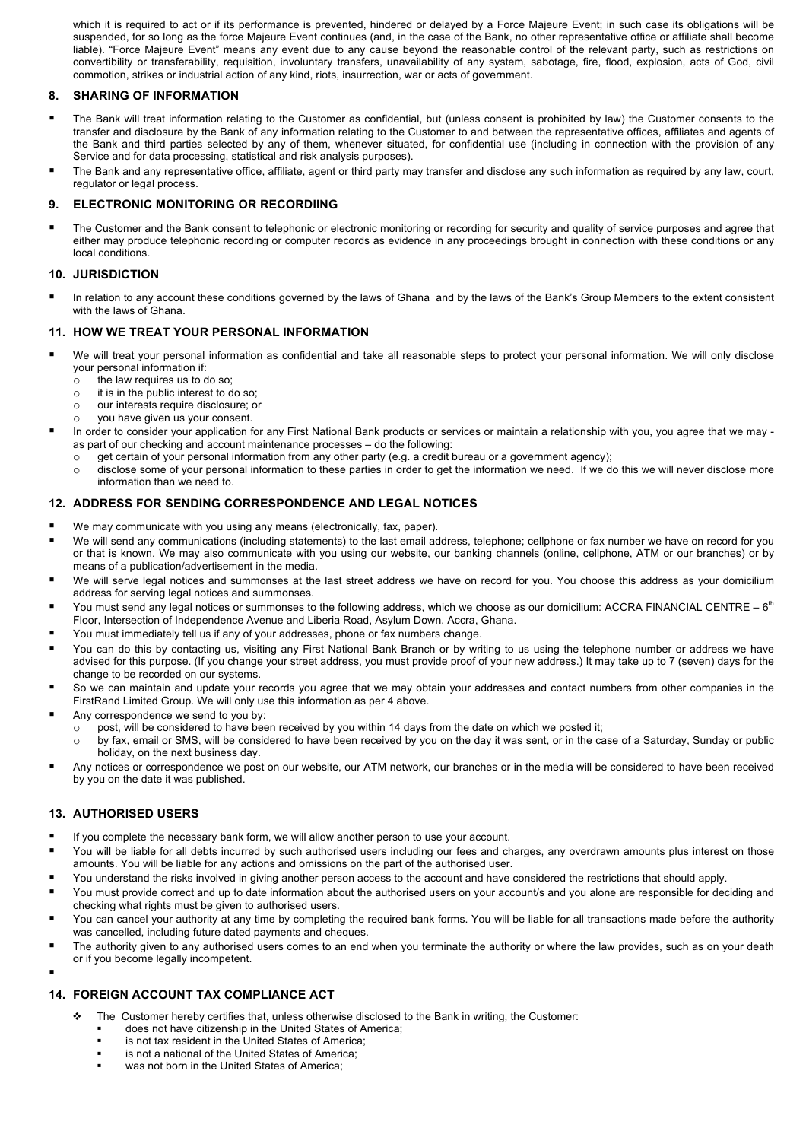which it is required to act or if its performance is prevented, hindered or delayed by a Force Majeure Event; in such case its obligations will be suspended, for so long as the force Majeure Event continues (and, in the case of the Bank, no other representative office or affiliate shall become liable). "Force Majeure Event" means any event due to any cause beyond the reasonable control of the relevant party, such as restrictions on convertibility or transferability, requisition, involuntary transfers, unavailability of any system, sabotage, fire, flood, explosion, acts of God, civil commotion, strikes or industrial action of any kind, riots, insurrection, war or acts of government.

### **8. SHARING OF INFORMATION**

- The Bank will treat information relating to the Customer as confidential, but (unless consent is prohibited by law) the Customer consents to the transfer and disclosure by the Bank of any information relating to the Customer to and between the representative offices, affiliates and agents of the Bank and third parties selected by any of them, whenever situated, for confidential use (including in connection with the provision of any Service and for data processing, statistical and risk analysis purposes).
- The Bank and any representative office, affiliate, agent or third party may transfer and disclose any such information as required by any law, court, regulator or legal process.

#### **9. ELECTRONIC MONITORING OR RECORDIING**

The Customer and the Bank consent to telephonic or electronic monitoring or recording for security and quality of service purposes and agree that either may produce telephonic recording or computer records as evidence in any proceedings brought in connection with these conditions or any local conditions.

#### **10. JURISDICTION**

In relation to any account these conditions governed by the laws of Ghana and by the laws of the Bank's Group Members to the extent consistent with the laws of Ghana.

#### **11. HOW WE TREAT YOUR PERSONAL INFORMATION**

- We will treat your personal information as confidential and take all reasonable steps to protect your personal information. We will only disclose your personal information if:
	- $\circ$  the law requires us to do so;
	- o it is in the public interest to do so;
	- o our interests require disclosure; or
	- o you have given us your consent.
- In order to consider your application for any First National Bank products or services or maintain a relationship with you, you agree that we may as part of our checking and account maintenance processes – do the following:
	- o get certain of your personal information from any other party (e.g. a credit bureau or a government agency);
	- o disclose some of your personal information to these parties in order to get the information we need. If we do this we will never disclose more information than we need to.

#### **12. ADDRESS FOR SENDING CORRESPONDENCE AND LEGAL NOTICES**

- We may communicate with you using any means (electronically, fax, paper).
- We will send any communications (including statements) to the last email address, telephone; cellphone or fax number we have on record for you or that is known. We may also communicate with you using our website, our banking channels (online, cellphone, ATM or our branches) or by means of a publication/advertisement in the media.
- We will serve legal notices and summonses at the last street address we have on record for you. You choose this address as your domicilium address for serving legal notices and summonses.
- You must send any legal notices or summonses to the following address, which we choose as our domicilium: ACCRA FINANCIAL CENTRE  $-6<sup>th</sup>$ Floor, Intersection of Independence Avenue and Liberia Road, Asylum Down, Accra, Ghana.
- You must immediately tell us if any of your addresses, phone or fax numbers change.
- You can do this by contacting us, visiting any First National Bank Branch or by writing to us using the telephone number or address we have advised for this purpose. (If you change your street address, you must provide proof of your new address.) It may take up to 7 (seven) days for the change to be recorded on our systems.
- So we can maintain and update your records you agree that we may obtain your addresses and contact numbers from other companies in the FirstRand Limited Group. We will only use this information as per 4 above.
- Any correspondence we send to you by:
	- $\circ$  post, will be considered to have been received by you within 14 days from the date on which we posted it;
		- o by fax, email or SMS, will be considered to have been received by you on the day it was sent, or in the case of a Saturday, Sunday or public holiday, on the next business day.
- ! Any notices or correspondence we post on our website, our ATM network, our branches or in the media will be considered to have been received by you on the date it was published.

### **13. AUTHORISED USERS**

- If you complete the necessary bank form, we will allow another person to use your account.
- You will be liable for all debts incurred by such authorised users including our fees and charges, any overdrawn amounts plus interest on those amounts. You will be liable for any actions and omissions on the part of the authorised user.
- You understand the risks involved in giving another person access to the account and have considered the restrictions that should apply.
- You must provide correct and up to date information about the authorised users on your account/s and you alone are responsible for deciding and checking what rights must be given to authorised users.
- You can cancel your authority at any time by completing the required bank forms. You will be liable for all transactions made before the authority was cancelled, including future dated payments and cheques.
- The authority given to any authorised users comes to an end when you terminate the authority or where the law provides, such as on your death or if you become legally incompetent. !

## **14. FOREIGN ACCOUNT TAX COMPLIANCE ACT**

- " The Customer hereby certifies that, unless otherwise disclosed to the Bank in writing, the Customer:
	- does not have citizenship in the United States of America:
	- ! is not tax resident in the United States of America;
	- is not a national of the United States of America;
	- was not born in the United States of America;